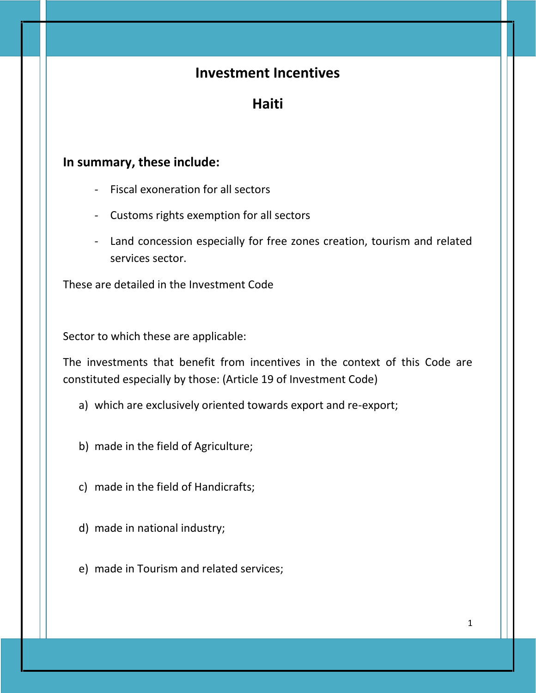## **Investment Incentives**

**Haiti**

## **In summary, these include:**

- Fiscal exoneration for all sectors
- Customs rights exemption for all sectors
- Land concession especially for free zones creation, tourism and related services sector.

These are detailed in the Investment Code

Sector to which these are applicable:

The investments that benefit from incentives in the context of this Code are constituted especially by those: (Article 19 of Investment Code)

- a) which are exclusively oriented towards export and re-export;
- b) made in the field of Agriculture;
- c) made in the field of Handicrafts;
- d) made in national industry;
- e) made in Tourism and related services;